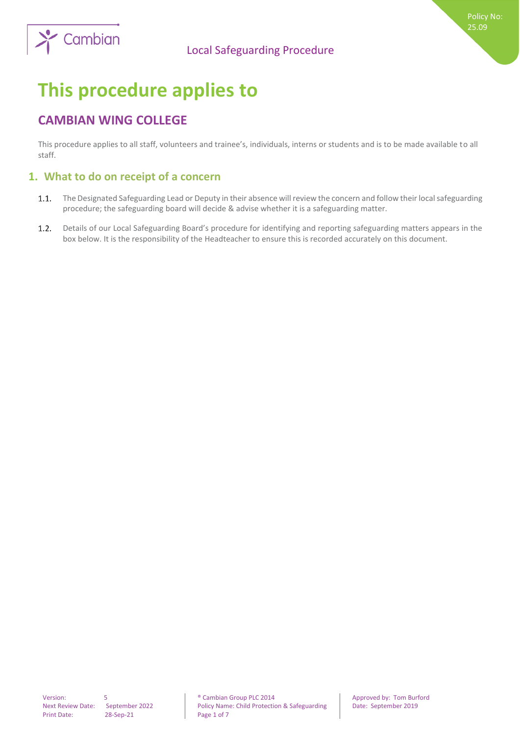

# **This procedure applies to**

# **CAMBIAN WING COLLEGE**

This procedure applies to all staff, volunteers and trainee's, individuals, interns or students and is to be made available to all staff.

# **1. What to do on receipt of a concern**

- $1.1.$ The Designated Safeguarding Lead or Deputy in their absence will review the concern and follow their local safeguarding procedure; the safeguarding board will decide & advise whether it is a safeguarding matter.
- $1.2.$ Details of our Local Safeguarding Board's procedure for identifying and reporting safeguarding matters appears in the box below. It is the responsibility of the Headteacher to ensure this is recorded accurately on this document.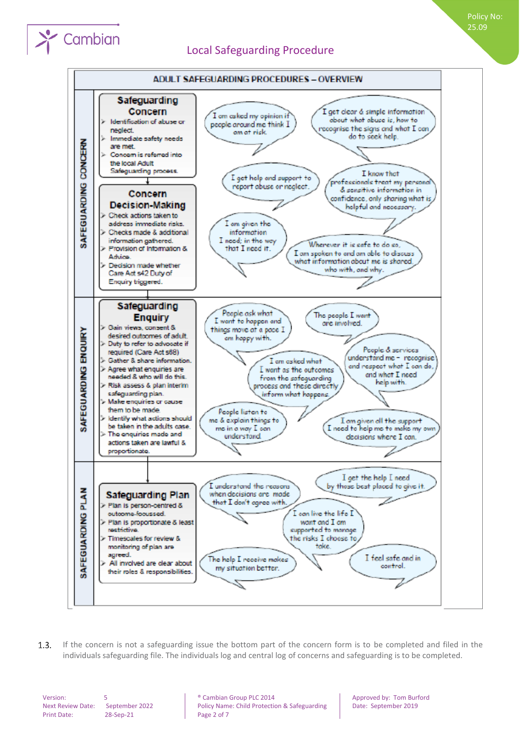



If the concern is not a safeguarding issue the bottom part of the concern form is to be completed and filed in the  $1.3.$ individuals safeguarding file. The individuals log and central log of concerns and safeguarding is to be completed.

Print Date: 28-Sep-21 Page 2 of 7

Cambian

Version: 5 **5 1.2.1.2.2.1.2.2.1.2.2.1.2.2.1.2.2.1.2.2.1.2.2.1.2.2.1.2.2.1.2.1.2.1.2.1.2.1.2.1.2.1.2.1.2.1.2.1.2.1.2.1.2.1.2.1.2.1.2.1.2.1.2.1.2.1.2.1.2.1.2.1.2.1.2.1.2.1.2.1.2.1.2.1.2.1.2.1.2.1.2.1.2.1.2.1.2.1.2.1.2.1.2.** Next Review Date: September 2022 Policy Name: Child Protection & Safeguarding Date: September 2019

Policy No: 25.09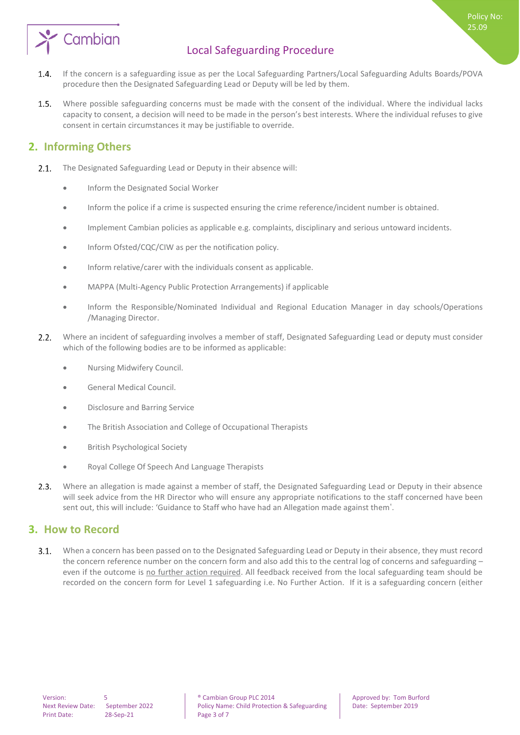

- $1.4.$ If the concern is a safeguarding issue as per the Local Safeguarding Partners/Local Safeguarding Adults Boards/POVA procedure then the Designated Safeguarding Lead or Deputy will be led by them.
- $1.5.$ Where possible safeguarding concerns must be made with the consent of the individual. Where the individual lacks capacity to consent, a decision will need to be made in the person's best interests. Where the individual refuses to give consent in certain circumstances it may be justifiable to override.

### **2. Informing Others**

- The Designated Safeguarding Lead or Deputy in their absence will:  $2.1.$ 
	- Inform the Designated Social Worker
	- Inform the police if a crime is suspected ensuring the crime reference/incident number is obtained.
	- Implement Cambian policies as applicable e.g. complaints, disciplinary and serious untoward incidents.
	- Inform Ofsted/CQC/CIW as per the notification policy.
	- Inform relative/carer with the individuals consent as applicable.
	- MAPPA (Multi-Agency Public Protection Arrangements) if applicable
	- Inform the Responsible/Nominated Individual and Regional Education Manager in day schools/Operations /Managing Director.
- $2.2.$ Where an incident of safeguarding involves a member of staff, Designated Safeguarding Lead or deputy must consider which of the following bodies are to be informed as applicable:
	- Nursing Midwifery Council.
	- General Medical Council.
	- Disclosure and Barring Service
	- The British Association and College of Occupational Therapists
	- British Psychological Society
	- Royal College Of Speech And Language Therapists
- $2.3.$ Where an allegation is made against a member of staff, the Designated Safeguarding Lead or Deputy in their absence will seek advice from the HR Director who will ensure any appropriate notifications to the staff concerned have been sent out, this will include: 'Guidance to Staff who have had an Allegation made against them'.

#### **3. How to Record**

 $3.1.$ When a concern has been passed on to the Designated Safeguarding Lead or Deputy in their absence, they must record the concern reference number on the concern form and also add this to the central log of concerns and safeguarding – even if the outcome is no further action required. All feedback received from the local safeguarding team should be recorded on the concern form for Level 1 safeguarding i.e. No Further Action. If it is a safeguarding concern (either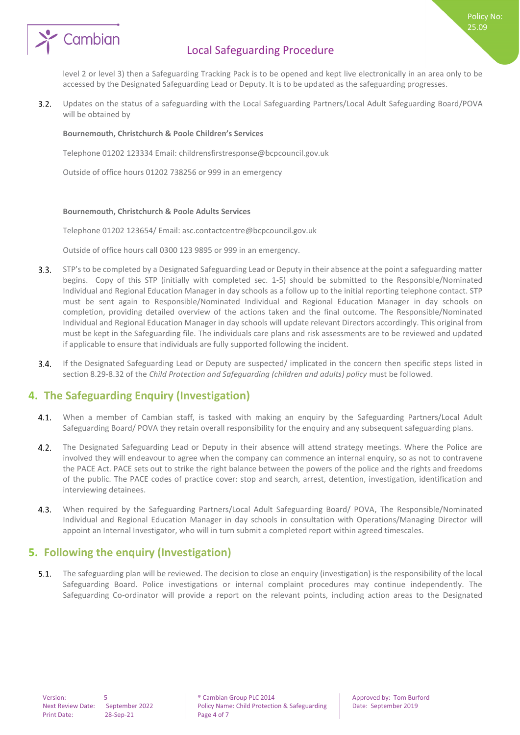

level 2 or level 3) then a Safeguarding Tracking Pack is to be opened and kept live electronically in an area only to be accessed by the Designated Safeguarding Lead or Deputy. It is to be updated as the safeguarding progresses.

Policy No: 25.09

 $3.2.$ Updates on the status of a safeguarding with the Local Safeguarding Partners/Local Adult Safeguarding Board/POVA will be obtained by

#### **Bournemouth, Christchurch & Poole Children's Services**

Telephone 01202 123334 Email: childrensfirstresponse@bcpcouncil.gov.uk

Outside of office hours 01202 738256 or 999 in an emergency

#### **Bournemouth, Christchurch & Poole Adults Services**

Telephone 01202 123654/ Email: asc.contactcentre@bcpcouncil.gov.uk

Outside of office hours call 0300 123 9895 or 999 in an emergency.

- STP's to be completed by a Designated Safeguarding Lead or Deputy in their absence at the point a safeguarding matter  $3.3.$ begins. Copy of this STP (initially with completed sec. 1-5) should be submitted to the Responsible/Nominated Individual and Regional Education Manager in day schools as a follow up to the initial reporting telephone contact. STP must be sent again to Responsible/Nominated Individual and Regional Education Manager in day schools on completion, providing detailed overview of the actions taken and the final outcome. The Responsible/Nominated Individual and Regional Education Manager in day schools will update relevant Directors accordingly. This original from must be kept in the Safeguarding file. The individuals care plans and risk assessments are to be reviewed and updated if applicable to ensure that individuals are fully supported following the incident.
- $3.4.$ If the Designated Safeguarding Lead or Deputy are suspected/ implicated in the concern then specific steps listed in section 8.29-8.32 of the *Child Protection and Safeguarding (children and adults) policy* must be followed.

### **4. The Safeguarding Enquiry (Investigation)**

- $4.1.$ When a member of Cambian staff, is tasked with making an enquiry by the Safeguarding Partners/Local Adult Safeguarding Board/ POVA they retain overall responsibility for the enquiry and any subsequent safeguarding plans.
- $4.2.$ The Designated Safeguarding Lead or Deputy in their absence will attend strategy meetings. Where the Police are involved they will endeavour to agree when the company can commence an internal enquiry, so as not to contravene the PACE Act. PACE sets out to strike the right balance between the powers of the police and the rights and freedoms of the public. The PACE codes of practice cover: stop and search, arrest, detention, investigation, identification and interviewing detainees.
- $4.3.$ When required by the Safeguarding Partners/Local Adult Safeguarding Board/ POVA, The Responsible/Nominated Individual and Regional Education Manager in day schools in consultation with Operations/Managing Director will appoint an Internal Investigator, who will in turn submit a completed report within agreed timescales.

### **5. Following the enquiry (Investigation)**

 $5.1.$ The safeguarding plan will be reviewed. The decision to close an enquiry (investigation) is the responsibility of the local Safeguarding Board. Police investigations or internal complaint procedures may continue independently. The Safeguarding Co-ordinator will provide a report on the relevant points, including action areas to the Designated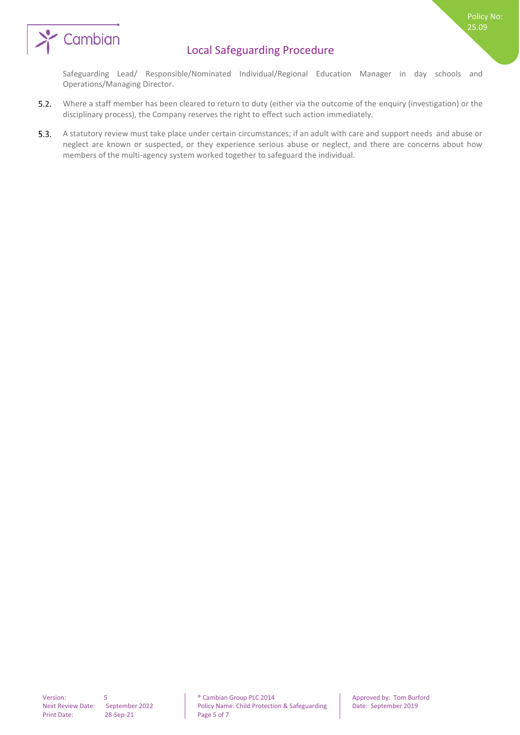

Safeguarding Lead/ Responsible/Nominated Individual/Regional Education Manager in day schools and Operations/Managing Director.

- $5.2.$ Where a staff member has been cleared to return to duty (either via the outcome of the enquiry (investigation) or the disciplinary process), the Company reserves the right to effect such action immediately.
- $5.3.$ A statutory review must take place under certain circumstances; if an adult with care and support needs and abuse or neglect are known or suspected, or they experience serious abuse or neglect, and there are concerns about how members of the multi-agency system worked together to safeguard the individual.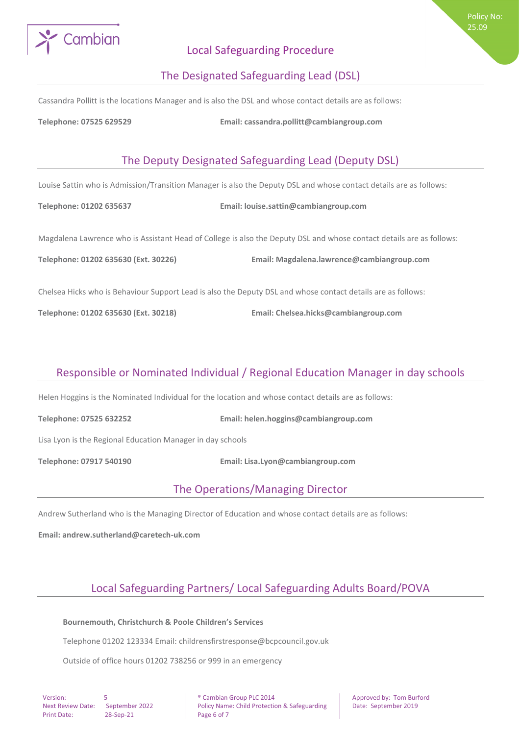

#### The Designated Safeguarding Lead (DSL)

Cassandra Pollitt is the locations Manager and is also the DSL and whose contact details are as follows:

**Telephone: 07525 629529 Email: cassandra.pollitt@cambiangroup.com**

# The Deputy Designated Safeguarding Lead (Deputy DSL)

Louise Sattin who is Admission/Transition Manager is also the Deputy DSL and whose contact details are as follows:

**Telephone: 01202 635637 Email: louise.sattin@cambiangroup.com**

Magdalena Lawrence who is Assistant Head of College is also the Deputy DSL and whose contact details are as follows:

**Telephone: 01202 635630 (Ext. 30226) Email: Magdalena.lawrence@cambiangroup.com**

Chelsea Hicks who is Behaviour Support Lead is also the Deputy DSL and whose contact details are as follows:

**Telephone: 01202 635630 (Ext. 30218) Email: Chelsea.hicks@cambiangroup.com**

# Responsible or Nominated Individual / Regional Education Manager in day schools

Helen Hoggins is the Nominated Individual for the location and whose contact details are as follows:

**Telephone: 07525 632252 Email: helen.hoggins@cambiangroup.com**

Lisa Lyon is the Regional Education Manager in day schools

**Telephone: 07917 540190 Email: Lisa.Lyon@cambiangroup.com**

### The Operations/Managing Director

Andrew Sutherland who is the Managing Director of Education and whose contact details are as follows:

**Email: andrew.sutherland@caretech-uk.com**

# Local Safeguarding Partners/ Local Safeguarding Adults Board/POVA

#### **Bournemouth, Christchurch & Poole Children's Services**

Telephone 01202 123334 Email: childrensfirstresponse@bcpcouncil.gov.uk

Outside of office hours 01202 738256 or 999 in an emergency

Print Date: 28-Sep-21 Page 6 of 7

Version: 5 **5 1.2.1.2.2.1.2.2.1.2.2.1.2.2.1.2.2.1.2.2.1.2.2.1.2.2.1.2.2.1.2.1.2.1.2.1.2.1.2.1.2.1.2.1.2.1.2.1.2.1.2.1.2.1.2.1.2.1.2.1.2.1.2.1.2.1.2.1.2.1.2.1.2.1.2.1.2.1.2.1.2.1.2.1.2.1.2.1.2.1.2.1.2.1.2.1.2.1.2.1.2.1.2.** Next Review Date: September 2022 Policy Name: Child Protection & Safeguarding Date: September 2019

Policy No: 25.09